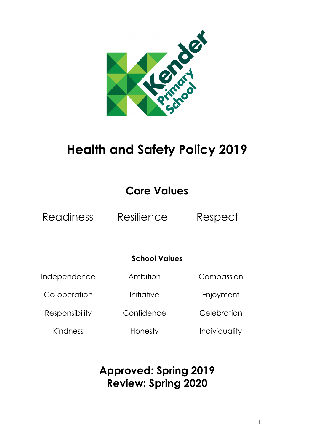

# **Health and Safety Policy 2019**

# **Core Values**

Readiness Resilience Respect

### **School Values**

Independence

Co-operation

Responsibility

Ambition

Compassion

Enjoyment

**Confidence** 

Kindness

Honesty

Initiative

**Celebration** 

Individuality

# **Approved: Spring 2019 Review: Spring 2020**

1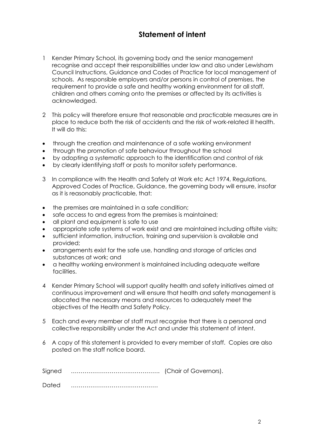### **Statement of intent**

- 1 Kender Primary School, its governing body and the senior management recognise and accept their responsibilities under law and also under Lewisham Council Instructions, Guidance and Codes of Practice for local management of schools. As responsible employers and/or persons in control of premises, the requirement to provide a safe and healthy working environment for all staff, children and others coming onto the premises or affected by its activities is acknowledged.
- 2 This policy will therefore ensure that reasonable and practicable measures are in place to reduce both the risk of accidents and the risk of work-related ill health. It will do this:
- through the creation and maintenance of a safe working environment
- through the promotion of safe behaviour throughout the school
- by adopting a systematic approach to the identification and control of risk
- by clearly identifying staff or posts to monitor safety performance.
- 3 In compliance with the Health and Safety at Work etc Act 1974, Regulations, Approved Codes of Practice, Guidance, the governing body will ensure, insofar as it is reasonably practicable, that:
- the premises are maintained in a safe condition;
- safe access to and egress from the premises is maintained;
- all plant and equipment is safe to use
- appropriate safe systems of work exist and are maintained including offsite visits;
- sufficient information, instruction, training and supervision is available and provided;
- arrangements exist for the safe use, handling and storage of articles and substances at work; and
- a healthy working environment is maintained including adequate welfare facilities.
- 4 Kender Primary School will support quality health and safety initiatives aimed at continuous improvement and will ensure that health and safety management is allocated the necessary means and resources to adequately meet the objectives of the Health and Safety Policy.
- 5 Each and every member of staff must recognise that there is a personal and collective responsibility under the Act and under this statement of intent.
- 6 A copy of this statement is provided to every member of staff. Copies are also posted on the staff notice board.

| Signed |  |
|--------|--|
|--------|--|

Dated ………………………………………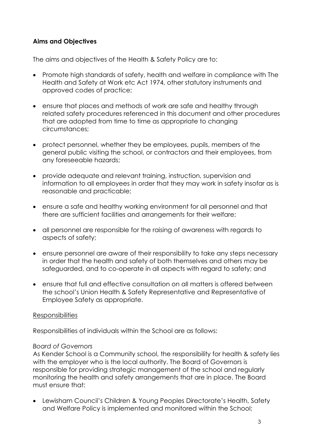#### **Aims and Objectives**

The aims and objectives of the Health & Safety Policy are to:

- Promote high standards of safety, health and welfare in compliance with The Health and Safety at Work etc Act 1974, other statutory instruments and approved codes of practice;
- ensure that places and methods of work are safe and healthy through related safety procedures referenced in this document and other procedures that are adopted from time to time as appropriate to changing circumstances;
- protect personnel, whether they be employees, pupils, members of the general public visiting the school, or contractors and their employees, from any foreseeable hazards;
- provide adequate and relevant training, instruction, supervision and information to all employees in order that they may work in safety insofar as is reasonable and practicable;
- ensure a safe and healthy working environment for all personnel and that there are sufficient facilities and arrangements for their welfare;
- all personnel are responsible for the raising of awareness with regards to aspects of safety;
- ensure personnel are aware of their responsibility to take any steps necessary in order that the health and safety of both themselves and others may be safeguarded, and to co-operate in all aspects with regard to safety; and
- ensure that full and effective consultation on all matters is offered between the school's Union Health & Safety Representative and Representative of Employee Safety as appropriate.

#### Responsibilities

Responsibilities of individuals within the School are as follows:

#### *Board of Governors*

As Kender School is a Community school, the responsibility for health & safety lies with the employer who is the local authority. The Board of Governors is responsible for providing strategic management of the school and regularly monitoring the health and safety arrangements that are in place. The Board must ensure that:

• Lewisham Council's Children & Young Peoples Directorate's Health, Safety and Welfare Policy is implemented and monitored within the School;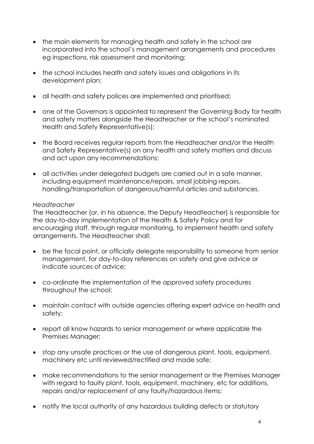- the main elements for managing health and safety in the school are incorporated into the school's management arrangements and procedures eg inspections, risk assessment and monitoring;
- the school includes health and safety issues and obligations in its development plan;
- all health and safety polices are implemented and prioritised;
- one of the Governors is appointed to represent the Governing Body for health and safety matters alongside the Headteacher or the school's nominated Health and Safety Representative(s);
- the Board receives regular reports from the Headteacher and/or the Health and Safety Representative(s) on any health and safety matters and discuss and act upon any recommendations;
- all activities under delegated budgets are carried out in a safe manner, including equipment maintenance/repairs, small jobbing repairs, handling/transportation of dangerous/harmful articles and substances.

#### *Headteacher*

The Headteacher (or, in his absence, the Deputy Headteacher) is responsible for the day-to-day implementation of the Health & Safety Policy and for encouraging staff, through regular monitoring, to implement health and safety arrangements. The Headteacher shall:

- be the focal point, or officially delegate responsibility to someone from senior management, for day-to-day references on safety and give advice or indicate sources of advice;
- co-ordinate the implementation of the approved safety procedures throughout the school;
- maintain contact with outside agencies offering expert advice on health and safety;
- report all know hazards to senior management or where applicable the Premises Manager;
- stop any unsafe practices or the use of dangerous plant, tools, equipment, machinery etc until reviewed/rectified and made safe;
- make recommendations to the senior management or the Premises Manager with regard to faulty plant, tools, equipment, machinery, etc for additions, repairs and/or replacement of any faulty/hazardous items;
- notify the local authority of any hazardous building defects or statutory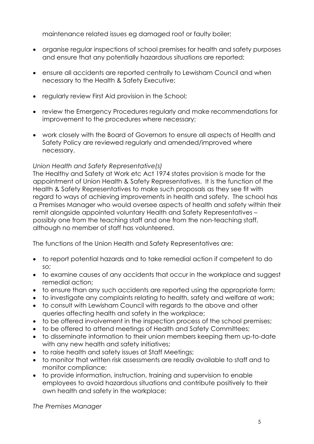maintenance related issues eg damaged roof or faulty boiler;

- organise regular inspections of school premises for health and safety purposes and ensure that any potentially hazardous situations are reported;
- ensure all accidents are reported centrally to Lewisham Council and when necessary to the Health & Safety Executive;
- regularly review First Aid provision in the School;
- review the Emergency Procedures regularly and make recommendations for improvement to the procedures where necessary;
- work closely with the Board of Governors to ensure all aspects of Health and Safety Policy are reviewed regularly and amended/improved where necessary.

#### *Union Health and Safety Representative(s)*

The Healthy and Safety at Work etc Act 1974 states provision is made for the appointment of Union Health & Safety Representatives. It is the function of the Health & Safety Representatives to make such proposals as they see fit with regard to ways of achieving improvements in health and safety. The school has a Premises Manager who would oversee aspects of health and safety within their remit alongside appointed voluntary Health and Safety Representatives – possibly one from the teaching staff and one from the non-teaching staff, although no member of staff has volunteered.

The functions of the Union Health and Safety Representatives are:

- to report potential hazards and to take remedial action if competent to do so;
- to examine causes of any accidents that occur in the workplace and suggest remedial action;
- to ensure than any such accidents are reported using the appropriate form;
- to investigate any complaints relating to health, safety and welfare at work;
- to consult with Lewisham Council with regards to the above and other queries affecting health and safety in the workplace;
- to be offered involvement in the inspection process of the school premises;
- to be offered to attend meetings of Health and Safety Committees;
- to disseminate information to their union members keeping them up-to-date with any new health and safety initiatives;
- to raise health and safety issues at Staff Meetings;
- to monitor that written risk assessments are readily available to staff and to monitor compliance;
- to provide information, instruction, training and supervision to enable employees to avoid hazardous situations and contribute positively to their own health and safety in the workplace;

*The Premises Manager*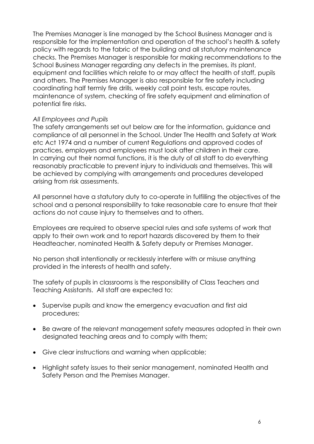The Premises Manager is line managed by the School Business Manager and is responsible for the implementation and operation of the school's health & safety policy with regards to the fabric of the building and all statutory maintenance checks. The Premises Manager is responsible for making recommendations to the School Business Manager regarding any defects in the premises, its plant, equipment and facilities which relate to or may affect the health of staff, pupils and others. The Premises Manager is also responsible for fire safety including coordinating half termly fire drills, weekly call point tests, escape routes, maintenance of system, checking of fire safety equipment and elimination of potential fire risks.

#### *All Employees and Pupils*

The safety arrangements set out below are for the information, guidance and compliance of all personnel in the School. Under The Health and Safety at Work etc Act 1974 and a number of current Regulations and approved codes of practices, employers and employees must look after children in their care. In carrying out their normal functions, it is the duty of all staff to do everything reasonably practicable to prevent injury to individuals and themselves. This will be achieved by complying with arrangements and procedures developed arising from risk assessments.

All personnel have a statutory duty to co-operate in fulfilling the objectives of the school and a personal responsibility to take reasonable care to ensure that their actions do not cause injury to themselves and to others.

Employees are required to observe special rules and safe systems of work that apply to their own work and to report hazards discovered by them to their Headteacher, nominated Health & Safety deputy or Premises Manager.

No person shall intentionally or recklessly interfere with or misuse anything provided in the interests of health and safety.

The safety of pupils in classrooms is the responsibility of Class Teachers and Teaching Assistants. All staff are expected to:

- Supervise pupils and know the emergency evacuation and first aid procedures;
- Be aware of the relevant management safety measures adopted in their own designated teaching areas and to comply with them;
- Give clear instructions and warning when applicable;
- Highlight safety issues to their senior management, nominated Health and Safety Person and the Premises Manager.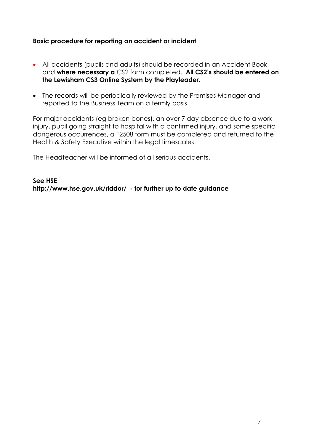#### **Basic procedure for reporting an accident or incident**

- All accidents (pupils and adults) should be recorded in an Accident Book and **where necessary a** CS2 form completed. **All CS2's should be entered on the Lewisham CS3 Online System by the Playleader.**
- The records will be periodically reviewed by the Premises Manager and reported to the Business Team on a termly basis.

For major accidents (eg broken bones), an over 7 day absence due to a work injury, pupil going straight to hospital with a confirmed injury, and some specific dangerous occurrences, a F2508 form must be completed and returned to the Health & Safety Executive within the legal timescales.

The Headteacher will be informed of all serious accidents.

**See HSE http://www.hse.gov.uk/riddor/ - for further up to date guidance**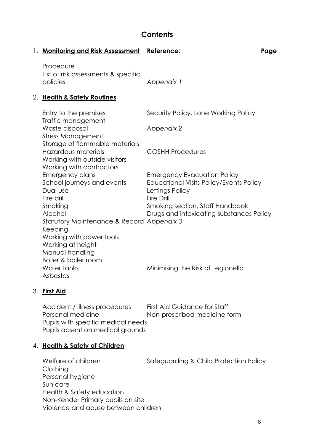### **Contents**

| 1. Monitoring and Risk Assessment Reference:                                                                                                   |                                                                                                  | Page |
|------------------------------------------------------------------------------------------------------------------------------------------------|--------------------------------------------------------------------------------------------------|------|
| Procedure<br>List of risk assessments & specific<br>policies                                                                                   | Appendix 1                                                                                       |      |
| 2. Health & Safety Routines                                                                                                                    |                                                                                                  |      |
| Entry to the premises<br>Traffic management                                                                                                    | Security Policy, Lone Working Policy                                                             |      |
| Waste disposal                                                                                                                                 | Appendix 2                                                                                       |      |
| <b>Stress Management</b><br>Storage of flammable materials<br>Hazardous materials<br>Working with outside visitors<br>Working with contractors | <b>COSHH Procedures</b>                                                                          |      |
| Emergency plans<br>School journeys and events<br>Dual use                                                                                      | <b>Emergency Evacuation Policy</b><br>Educational Visits Policy/Events Policy<br>Lettings Policy |      |
| Fire drill<br>Smoking<br>Alcohol<br>Statutory Maintenance & Record Appendix 3<br>Keeping                                                       | Fire Drill<br>Smoking section, Staff Handbook<br>Drugs and intoxicating substances Policy        |      |
| Working with power tools<br>Working at height<br>Manual handling<br>Boiler & boiler room<br>Water tanks<br>Asbestos                            | Minimising the Risk of Legionella                                                                |      |

#### 3. **First Aid**

Accident / illness procedures First Aid Guidance for Staff Personal medicine Non-prescribed medicine form Pupils with specific medical needs Pupils absent on medical grounds

#### 4. **Health & Safety of Children**

Welfare of children Safeguarding & Child Protection Policy Clothing Personal hygiene Sun care Health & Safety education Non-Kender Primary pupils on site Violence and abuse between children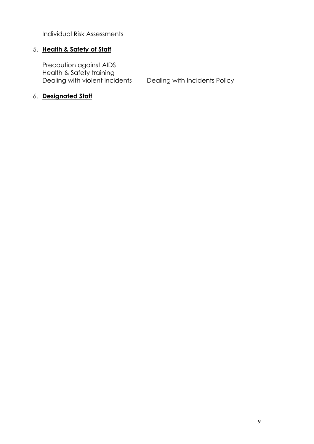Individual Risk Assessments

#### 5. **Health & Safety of Staff**

Precaution against AIDS Health & Safety training Dealing with violent incidents Dealing with Incidents Policy

#### 6. **Designated Staff**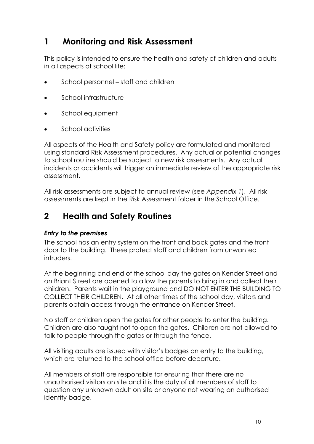### **1 Monitoring and Risk Assessment**

This policy is intended to ensure the health and safety of children and adults in all aspects of school life:

- School personnel staff and children
- School infrastructure
- School equipment
- School activities

All aspects of the Health and Safety policy are formulated and monitored using standard Risk Assessment procedures. Any actual or potential changes to school routine should be subject to new risk assessments. Any actual incidents or accidents will trigger an immediate review of the appropriate risk assessment.

All risk assessments are subject to annual review (see *Appendix 1*). All risk assessments are kept in the Risk Assessment folder in the School Office.

## **2 Health and Safety Routines**

#### *Entry to the premises*

The school has an entry system on the front and back gates and the front door to the building. These protect staff and children from unwanted intruders.

At the beginning and end of the school day the gates on Kender Street and on Briant Street are opened to allow the parents to bring in and collect their children. Parents wait in the playground and DO NOT ENTER THE BUILDING TO COLLECT THEIR CHILDREN. At all other times of the school day, visitors and parents obtain access through the entrance on Kender Street.

No staff or children open the gates for other people to enter the building. Children are also taught not to open the gates. Children are not allowed to talk to people through the gates or through the fence.

All visiting adults are issued with visitor's badges on entry to the building, which are returned to the school office before departure.

All members of staff are responsible for ensuring that there are no unauthorised visitors on site and it is the duty of all members of staff to question any unknown adult on site or anyone not wearing an authorised identity badge.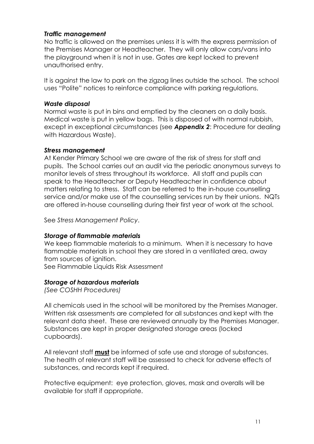#### *Traffic management*

No traffic is allowed on the premises unless it is with the express permission of the Premises Manager or Headteacher. They will only allow cars/vans into the playground when it is not in use. Gates are kept locked to prevent unauthorised entry.

It is against the law to park on the zigzag lines outside the school. The school uses "Polite" notices to reinforce compliance with parking regulations.

#### *Waste disposal*

Normal waste is put in bins and emptied by the cleaners on a daily basis. Medical waste is put in yellow bags. This is disposed of with normal rubbish, except in exceptional circumstances (see *Appendix 2*: Procedure for dealing with Hazardous Waste).

#### *Stress management*

At Kender Primary School we are aware of the risk of stress for staff and pupils. The School carries out an audit via the periodic anonymous surveys to monitor levels of stress throughout its workforce. All staff and pupils can speak to the Headteacher or Deputy Headteacher in confidence about matters relating to stress. Staff can be referred to the in-house counselling service and/or make use of the counselling services run by their unions. NQTs are offered in-house counselling during their first year of work at the school.

See *Stress Management Policy*.

#### *Storage of flammable materials*

We keep flammable materials to a minimum. When it is necessary to have flammable materials in school they are stored in a ventilated area, away from sources of ignition.

See Flammable Liquids Risk Assessment

#### *Storage of hazardous materials*

*(See COSHH Procedures)*

All chemicals used in the school will be monitored by the Premises Manager. Written risk assessments are completed for all substances and kept with the relevant data sheet. These are reviewed annually by the Premises Manager. Substances are kept in proper designated storage areas (locked cupboards).

All relevant staff **must** be informed of safe use and storage of substances. The health of relevant staff will be assessed to check for adverse effects of substances, and records kept if required.

Protective equipment: eye protection, gloves, mask and overalls will be available for staff if appropriate.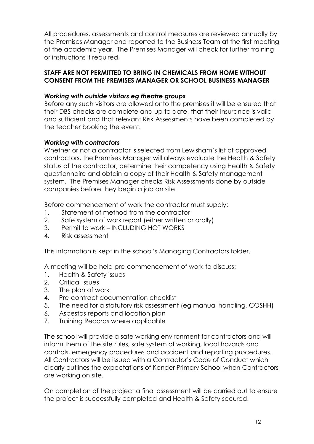All procedures, assessments and control measures are reviewed annually by the Premises Manager and reported to the Business Team at the first meeting of the academic year. The Premises Manager will check for further training or instructions if required.

#### **STAFF ARE NOT PERMITTED TO BRING IN CHEMICALS FROM HOME WITHOUT CONSENT FROM THE PREMISES MANAGER OR SCHOOL BUSINESS MANAGER**

#### *Working with outside visitors eg theatre groups*

Before any such visitors are allowed onto the premises it will be ensured that their DBS checks are complete and up to date, that their insurance is valid and sufficient and that relevant Risk Assessments have been completed by the teacher booking the event.

#### *Working with contractors*

Whether or not a contractor is selected from Lewisham's list of approved contractors, the Premises Manager will always evaluate the Health & Safety status of the contractor, determine their competency using Health & Safety questionnaire and obtain a copy of their Health & Safety management system. The Premises Manager checks Risk Assessments done by outside companies before they begin a job on site.

Before commencement of work the contractor must supply:

- 1. Statement of method from the contractor
- 2. Safe system of work report (either written or orally)
- 3. Permit to work INCLUDING HOT WORKS
- 4. Risk assessment

This information is kept in the school's Managing Contractors folder.

A meeting will be held pre-commencement of work to discuss:

- 1. Health & Safety issues
- 2. Critical issues
- 3. The plan of work
- 4. Pre-contract documentation checklist
- 5. The need for a statutory risk assessment (eg manual handling, COSHH)
- 6. Asbestos reports and location plan
- 7. Training Records where applicable

The school will provide a safe working environment for contractors and will inform them of the site rules, safe system of working, local hazards and controls, emergency procedures and accident and reporting procedures. All Contractors will be issued with a Contractor's Code of Conduct which clearly outlines the expectations of Kender Primary School when Contractors are working on site.

On completion of the project a final assessment will be carried out to ensure the project is successfully completed and Health & Safety secured.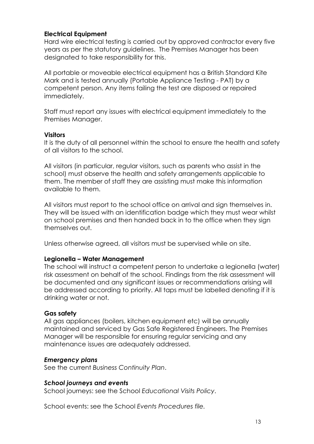#### **Electrical Equipment**

Hard wire electrical testing is carried out by approved contractor every five years as per the statutory guidelines. The Premises Manager has been designated to take responsibility for this.

All portable or moveable electrical equipment has a British Standard Kite Mark and is tested annually (Portable Appliance Testing - PAT) by a competent person. Any items failing the test are disposed or repaired immediately.

Staff must report any issues with electrical equipment immediately to the Premises Manager.

#### **Visitors**

It is the duty of all personnel within the school to ensure the health and safety of all visitors to the school.

All visitors (in particular, regular visitors, such as parents who assist in the school) must observe the health and safety arrangements applicable to them. The member of staff they are assisting must make this information available to them.

All visitors must report to the school office on arrival and sign themselves in. They will be issued with an identification badge which they must wear whilst on school premises and then handed back in to the office when they sign themselves out.

Unless otherwise agreed, all visitors must be supervised while on site.

#### **Legionella – Water Management**

The school will instruct a competent person to undertake a legionella (water) risk assessment on behalf of the school. Findings from the risk assessment will be documented and any significant issues or recommendations arising will be addressed according to priority. All taps must be labelled denoting if it is drinking water or not.

#### **Gas safety**

All gas appliances (boilers, kitchen equipment etc) will be annually maintained and serviced by Gas Safe Registered Engineers. The Premises Manager will be responsible for ensuring regular servicing and any maintenance issues are adequately addressed.

#### *Emergency plans*

See the current *Business Continuity Plan*.

#### *School journeys and events*

School journeys: see the School *Educational Visits Policy*.

School events: see the School *Events Procedures file.*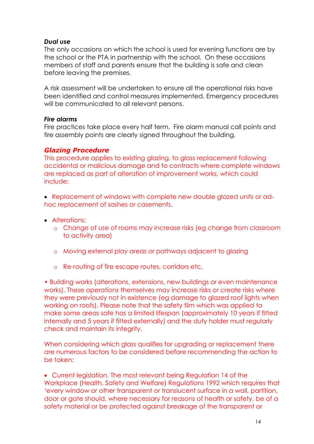#### *Dual use*

The only occasions on which the school is used for evening functions are by the school or the PTA in partnership with the school. On these occasions members of staff and parents ensure that the building is safe and clean before leaving the premises.

A risk assessment will be undertaken to ensure all the operational risks have been identified and control measures implemented. Emergency procedures will be communicated to all relevant persons.

#### *Fire alarms*

Fire practices take place every half term. Fire alarm manual call points and fire assembly points are clearly signed throughout the building.

#### *Glazing Procedure*

This procedure applies to existing glazing, to glass replacement following accidental or malicious damage and to contracts where complete windows are replaced as part of alteration of improvement works, which could include:

• Replacement of windows with complete new double glazed units or adhoc replacement of sashes or casements.

- Alterations:
	- o Change of use of rooms may increase risks (eg change from classroom to activity area)
	- o Moving external play areas or pathways adjacent to glazing
	- o Re-routing of fire escape routes, corridors etc.

• Building works (alterations, extensions, new buildings or even maintenance works). These operations themselves may increase risks or create risks where they were previously not in existence (eg damage to glazed roof lights when working on roofs). Please note that the safety film which was applied to make some areas safe has a limited lifespan (approximately 10 years if fitted internally and 5 years if fitted externally) and the duty holder must regularly check and maintain its integrity.

When considering which glass qualifies for upgrading or replacement there are numerous factors to be considered before recommending the action to be taken:

• Current legislation. The most relevant being Regulation 14 of the Workplace (Health, Safety and Welfare) Regulations 1992 which requires that 'every window or other transparent or translucent surface in a wall, partition, door or gate should, where necessary for reasons of health or safety, be of a safety material or be protected against breakage of the transparent or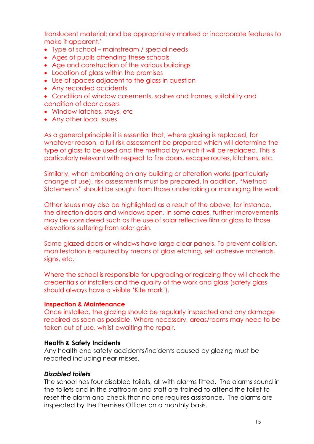translucent material; and be appropriately marked or incorporate features to make it apparent.'

- Type of school mainstream / special needs
- Ages of pupils attending these schools
- Age and construction of the various buildings
- Location of glass within the premises
- Use of spaces adjacent to the glass in question
- Any recorded accidents
- Condition of window casements, sashes and frames, suitability and condition of door closers
- Window latches, stays, etc
- Any other local issues

As a general principle it is essential that, where glazing is replaced, for whatever reason, a full risk assessment be prepared which will determine the type of glass to be used and the method by which it will be replaced. This is particularly relevant with respect to fire doors, escape routes, kitchens, etc.

Similarly, when embarking on any building or alteration works (particularly change of use), risk assessments must be prepared. In addition, "Method Statements" should be sought from those undertaking or managing the work.

Other issues may also be highlighted as a result of the above, for instance, the direction doors and windows open. In some cases, further improvements may be considered such as the use of solar reflective film or glass to those elevations suffering from solar gain.

Some glazed doors or windows have large clear panels. To prevent collision, manifestation is required by means of glass etching, self adhesive materials, signs, etc.

Where the school is responsible for upgrading or reglazing they will check the credentials of installers and the quality of the work and glass (safety glass should always have a visible 'Kite mark').

#### **Inspection & Maintenance**

Once installed, the glazing should be regularly inspected and any damage repaired as soon as possible. Where necessary, areas/rooms may need to be taken out of use, whilst awaiting the repair.

#### **Health & Safety Incidents**

Any health and safety accidents/incidents caused by glazing must be reported including near misses.

#### *Disabled toilets*

The school has four disabled toilets, all with alarms fitted. The alarms sound in the toilets and in the staffroom and staff are trained to attend the toilet to reset the alarm and check that no one requires assistance. The alarms are inspected by the Premises Officer on a monthly basis.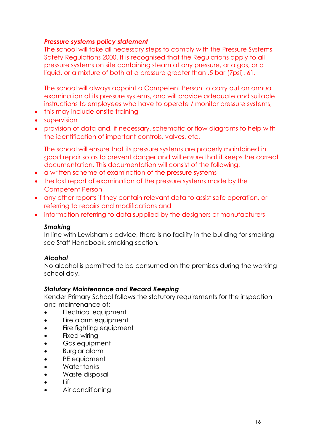#### *Pressure systems policy statement*

The school will take all necessary steps to comply with the Pressure Systems Safety Regulations 2000. It is recognised that the Regulations apply to all pressure systems on site containing steam at any pressure, or a gas, or a liquid, or a mixture of both at a pressure greater than .5 bar (7psi). 61.

The school will always appoint a Competent Person to carry out an annual examination of its pressure systems, and will provide adequate and suitable instructions to employees who have to operate / monitor pressure systems;

- this may include onsite training
- supervision
- provision of data and, if necessary, schematic or flow diagrams to help with the identification of important controls, valves, etc.

The school will ensure that its pressure systems are properly maintained in good repair so as to prevent danger and will ensure that it keeps the correct documentation. This documentation will consist of the following:

- a written scheme of examination of the pressure systems
- the last report of examination of the pressure systems made by the Competent Person
- any other reports if they contain relevant data to assist safe operation, or referring to repairs and modifications and
- information referring to data supplied by the designers or manufacturers

#### *Smoking*

In line with Lewisham's advice, there is no facility in the building for smoking – see Staff Handbook, smoking section*.*

#### *Alcohol*

No alcohol is permitted to be consumed on the premises during the working school day.

#### *Statutory Maintenance and Record Keeping*

Kender Primary School follows the statutory requirements for the inspection and maintenance of:

- Electrical equipment
- Fire alarm equipment
- Fire fighting equipment
- Fixed wiring
- Gas equipment
- Burglar alarm
- PE equipment
- Water tanks
- Waste disposal
- Lift
- Air conditioning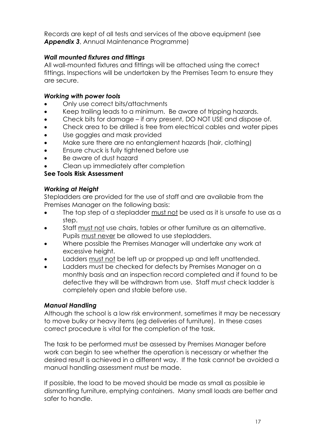Records are kept of all tests and services of the above equipment (see *Appendix 3*, Annual Maintenance Programme)

#### *Wall mounted fixtures and fittings*

All wall-mounted fixtures and fittings will be attached using the correct fittings. Inspections will be undertaken by the Premises Team to ensure they are secure.

#### *Working with power tools*

- Only use correct bits/attachments
- Keep trailing leads to a minimum. Be aware of tripping hazards.
- Check bits for damage if any present, DO NOT USE and dispose of.
- Check area to be drilled is free from electrical cables and water pipes
- Use goggles and mask provided
- Make sure there are no entanglement hazards (hair, clothing)
- Ensure chuck is fully tightened before use
- Be aware of dust hazard
- Clean up immediately after completion

#### **See Tools Risk Assessment**

#### *Working at Height*

Stepladders are provided for the use of staff and are available from the Premises Manager on the following basis:

- The top step of a stepladder must not be used as it is unsafe to use as a step.
- Staff must not use chairs, tables or other furniture as an alternative. Pupils must never be allowed to use stepladders.
- Where possible the Premises Manager will undertake any work at excessive height.
- Ladders must not be left up or propped up and left unattended.
- Ladders must be checked for defects by Premises Manager on a monthly basis and an inspection record completed and if found to be defective they will be withdrawn from use. Staff must check ladder is completely open and stable before use.

#### *Manual Handling*

Although the school is a low risk environment, sometimes it may be necessary to move bulky or heavy items (eg deliveries of furniture). In these cases correct procedure is vital for the completion of the task.

The task to be performed must be assessed by Premises Manager before work can begin to see whether the operation is necessary or whether the desired result is achieved in a different way. If the task cannot be avoided a manual handling assessment must be made.

If possible, the load to be moved should be made as small as possible ie dismantling furniture, emptying containers. Many small loads are better and safer to handle.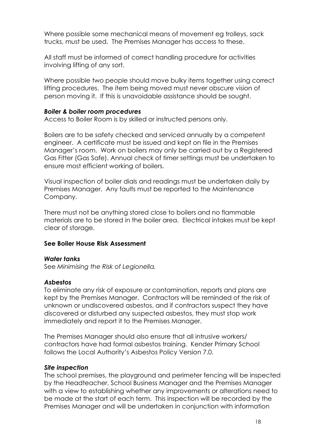Where possible some mechanical means of movement eg trolleys, sack trucks, must be used. The Premises Manager has access to these.

All staff must be informed of correct handling procedure for activities involving lifting of any sort.

Where possible two people should move bulky items together using correct lifting procedures. The item being moved must never obscure vision of person moving it. If this is unavoidable assistance should be sought.

#### *Boiler & boiler room procedures*

Access to Boiler Room is by skilled or instructed persons only.

Boilers are to be safety checked and serviced annually by a competent engineer. A certificate must be issued and kept on file in the Premises Manager's room. Work on boilers may only be carried out by a Registered Gas Fitter (Gas Safe). Annual check of timer settings must be undertaken to ensure most efficient working of boilers.

Visual inspection of boiler dials and readings must be undertaken daily by Premises Manager. Any faults must be reported to the Maintenance Company.

There must not be anything stored close to boilers and no flammable materials are to be stored in the boiler area. Electrical intakes must be kept clear of storage.

#### **See Boiler House Risk Assessment**

#### *Water tanks*

See *Minimising the Risk of Legionella.*

#### *Asbestos*

To eliminate any risk of exposure or contamination, reports and plans are kept by the Premises Manager. Contractors will be reminded of the risk of unknown or undiscovered asbestos, and if contractors suspect they have discovered or disturbed any suspected asbestos, they must stop work immediately and report it to the Premises Manager.

The Premises Manager should also ensure that all intrusive workers/ contractors have had formal asbestos training. Kender Primary School follows the Local Authority's Asbestos Policy Version 7.0.

#### *Site inspection*

The school premises, the playground and perimeter fencing will be inspected by the Headteacher, School Business Manager and the Premises Manager with a view to establishing whether any improvements or alterations need to be made at the start of each term. This inspection will be recorded by the Premises Manager and will be undertaken in conjunction with information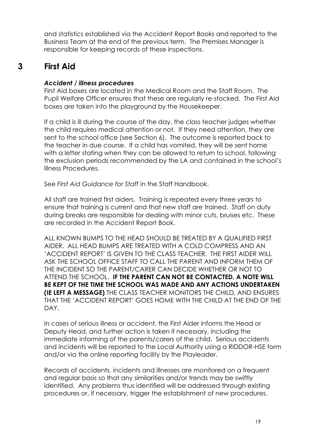and statistics established via the Accident Report Books and reported to the Business Team at the end of the previous term. The Premises Manager is responsible for keeping records of these inspections.

### **3 First Aid**

#### *Accident / illness procedures*

First Aid boxes are located in the Medical Room and the Staff Room. The Pupil Welfare Officer ensures that these are regularly re-stocked. The First Aid boxes are taken into the playground by the Housekeeper.

If a child is ill during the course of the day, the class teacher judges whether the child requires medical attention or not. If they need attention, they are sent to the school office (see Section 6). The outcome is reported back to the teacher in due course. If a child has vomited, they will be sent home with a letter stating when they can be allowed to return to school, following the exclusion periods recommended by the LA and contained in the school's Illness Procedures.

See *First Aid Guidance for Staff* in the Staff Handbook.

All staff are trained first aiders. Training is repeated every three years to ensure that training is current and that new staff are trained. Staff on duty during breaks are responsible for dealing with minor cuts, bruises etc. These are recorded in the Accident Report Book.

ALL KNOWN BUMPS TO THE HEAD SHOULD BE TREATED BY A QUALIFIED FIRST AIDER. ALL HEAD BUMPS ARE TREATED WITH A COLD COMPRESS AND AN 'ACCIDENT REPORT' IS GIVEN TO THE CLASS TEACHER. THE FIRST AIDER WILL ASK THE SCHOOL OFFICE STAFF TO CALL THE PARENT AND INFORM THEM OF THE INCIDENT SO THE PARENT/CARER CAN DECIDE WHETHER OR NOT TO ATTEND THE SCHOOL. **IF THE PARENT CAN NOT BE CONTACTED, A NOTE WILL BE KEPT OF THE TIME THE SCHOOL WAS MADE AND ANY ACTIONS UNDERTAKEN (IE LEFT A MESSAGE)** THE CLASS TEACHER MONITORS THE CHILD, AND ENSURES THAT THE 'ACCIDENT REPORT' GOES HOME WITH THE CHILD AT THE END OF THE DAY.

In cases of serious illness or accident, the First Aider informs the Head or Deputy Head, and further action is taken if necessary, including the immediate informing of the parents/carers of the child. Serious accidents and incidents will be reported to the Local Authority using a RIDDOR-HSE form and/or via the online reporting facility by the Playleader.

Records of accidents, incidents and illnesses are monitored on a frequent and regular basis so that any similarities and/or trends may be swiftly identified. Any problems thus identified will be addressed through existing procedures or, if necessary, trigger the establishment of new procedures.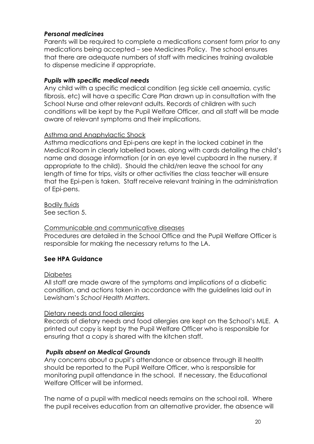#### *Personal medicines*

Parents will be required to complete a medications consent form prior to any medications being accepted – see Medicines Policy. The school ensures that there are adequate numbers of staff with medicines training available to dispense medicine if appropriate.

#### *Pupils with specific medical needs*

Any child with a specific medical condition (eg sickle cell anaemia, cystic fibrosis, etc) will have a specific Care Plan drawn up in consultation with the School Nurse and other relevant adults. Records of children with such conditions will be kept by the Pupil Welfare Officer, and all staff will be made aware of relevant symptoms and their implications.

#### Asthma and Anaphylactic Shock

Asthma medications and Epi-pens are kept in the locked cabinet in the Medical Room in clearly labelled boxes, along with cards detailing the child's name and dosage information (or in an eye level cupboard in the nursery, if appropriate to the child). Should the child/ren leave the school for any length of time for trips, visits or other activities the class teacher will ensure that the Epi-pen is taken. Staff receive relevant training in the administration of Epi-pens.

Bodily fluids See section 5.

#### Communicable and communicative diseases

Procedures are detailed in the School Office and the Pupil Welfare Officer is responsible for making the necessary returns to the LA.

#### **See HPA Guidance**

#### **Diabetes**

All staff are made aware of the symptoms and implications of a diabetic condition, and actions taken in accordance with the guidelines laid out in Lewisham's *School Health Matters*.

#### Dietary needs and food allergies

Records of dietary needs and food allergies are kept on the School's MLE. A printed out copy is kept by the Pupil Welfare Officer who is responsible for ensuring that a copy is shared with the kitchen staff.

#### *Pupils absent on Medical Grounds*

Any concerns about a pupil's attendance or absence through ill health should be reported to the Pupil Welfare Officer, who is responsible for monitoring pupil attendance in the school. If necessary, the Educational Welfare Officer will be informed.

The name of a pupil with medical needs remains on the school roll. Where the pupil receives education from an alternative provider, the absence will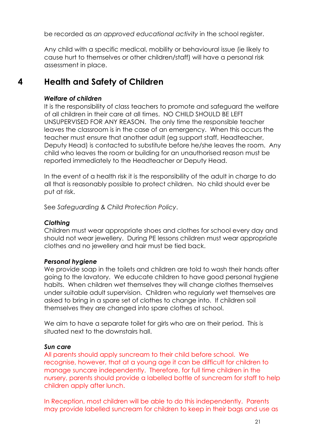be recorded as *an approved educational activity* in the school register.

Any child with a specific medical, mobility or behavioural issue (ie likely to cause hurt to themselves or other children/staff) will have a personal risk assessment in place.

## **4 Health and Safety of Children**

#### *Welfare of children*

It is the responsibility of class teachers to promote and safeguard the welfare of all children in their care at all times. NO CHILD SHOULD BE LEFT UNSUPERVISED FOR ANY REASON. The only time the responsible teacher leaves the classroom is in the case of an emergency. When this occurs the teacher must ensure that another adult (eg support staff, Headteacher, Deputy Head) is contacted to substitute before he/she leaves the room. Any child who leaves the room or building for an unauthorised reason must be reported immediately to the Headteacher or Deputy Head.

In the event of a health risk it is the responsibility of the adult in charge to do all that is reasonably possible to protect children. No child should ever be put at risk.

See *Safeguarding & Child Protection Policy*.

#### *Clothing*

Children must wear appropriate shoes and clothes for school every day and should not wear jewellery. During PE lessons children must wear appropriate clothes and no jewellery and hair must be tied back.

#### *Personal hygiene*

We provide soap in the toilets and children are told to wash their hands after going to the lavatory. We educate children to have good personal hygiene habits. When children wet themselves they will change clothes themselves under suitable adult supervision. Children who regularly wet themselves are asked to bring in a spare set of clothes to change into. If children soil themselves they are changed into spare clothes at school.

We aim to have a separate toilet for girls who are on their period. This is situated next to the downstairs hall.

#### *Sun care*

All parents should apply suncream to their child before school. We recognise, however, that at a young age it can be difficult for children to manage suncare independently. Therefore, for full time children in the nursery, parents should provide a labelled bottle of suncream for staff to help children apply after lunch.

In Reception, most children will be able to do this independently. Parents may provide labelled suncream for children to keep in their bags and use as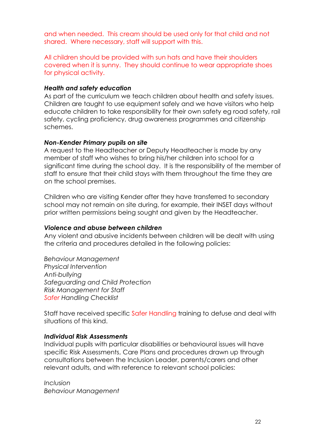and when needed. This cream should be used only for that child and not shared. Where necessary, staff will support with this.

All children should be provided with sun hats and have their shoulders covered when it is sunny. They should continue to wear appropriate shoes for physical activity.

#### *Health and safety education*

As part of the curriculum we teach children about health and safety issues. Children are taught to use equipment safely and we have visitors who help educate children to take responsibility for their own safety eg road safety, rail safety, cycling proficiency, drug awareness programmes and citizenship schemes.

#### *Non-Kender Primary pupils on site*

A request to the Headteacher or Deputy Headteacher is made by any member of staff who wishes to bring his/her children into school for a significant time during the school day. It is the responsibility of the member of staff to ensure that their child stays with them throughout the time they are on the school premises.

Children who are visiting Kender after they have transferred to secondary school may not remain on site during, for example, their INSET days without prior written permissions being sought and given by the Headteacher.

#### *Violence and abuse between children*

Any violent and abusive incidents between children will be dealt with using the criteria and procedures detailed in the following policies:

*Behaviour Management Physical Intervention Anti-bullying Safeguarding and Child Protection Risk Management for Staff Safer Handling Checklist*

Staff have received specific Safer Handling training to defuse and deal with situations of this kind.

#### *Individual Risk Assessments*

Individual pupils with particular disabilities or behavioural issues will have specific Risk Assessments, Care Plans and procedures drawn up through consultations between the Inclusion Leader, parents/carers and other relevant adults, and with reference to relevant school policies:

*Inclusion Behaviour Management*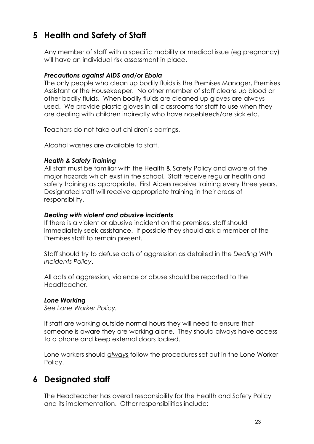## **5 Health and Safety of Staff**

Any member of staff with a specific mobility or medical issue (eg pregnancy) will have an individual risk assessment in place.

#### *Precautions against AIDS and/or Ebola*

The only people who clean up bodily fluids is the Premises Manager, Premises Assistant or the Housekeeper. No other member of staff cleans up blood or other bodily fluids. When bodily fluids are cleaned up gloves are always used. We provide plastic gloves in all classrooms for staff to use when they are dealing with children indirectly who have nosebleeds/are sick etc.

Teachers do not take out children's earrings.

Alcohol washes are available to staff.

#### *Health & Safety Training*

All staff must be familiar with the Health & Safety Policy and aware of the major hazards which exist in the school. Staff receive regular health and safety training as appropriate. First Aiders receive training every three years. Designated staff will receive appropriate training in their areas of responsibility.

#### *Dealing with violent and abusive incidents*

If there is a violent or abusive incident on the premises, staff should immediately seek assistance. If possible they should ask a member of the Premises staff to remain present.

Staff should try to defuse acts of aggression as detailed in the *Dealing With Incidents Policy*.

All acts of aggression, violence or abuse should be reported to the Headteacher.

#### *Lone Working*

*See Lone Worker Policy.*

If staff are working outside normal hours they will need to ensure that someone is aware they are working alone. They should always have access to a phone and keep external doors locked.

Lone workers should *always* follow the procedures set out in the Lone Worker Policy.

### **6 Designated staff**

The Headteacher has overall responsibility for the Health and Safety Policy and its implementation. Other responsibilities include: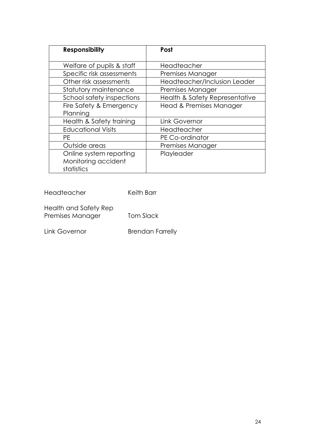| <b>Responsibility</b>     | Post                           |
|---------------------------|--------------------------------|
| Welfare of pupils & staff | Headteacher                    |
| Specific risk assessments | Premises Manager               |
| Other risk assessments    | Headteacher/Inclusion Leader   |
| Statutory maintenance     | Premises Manager               |
| School safety inspections | Health & Safety Representative |
| Fire Safety & Emergency   | Head & Premises Manager        |
| Planning                  |                                |
| Health & Safety training  | Link Governor                  |
| <b>Educational Visits</b> | Headteacher                    |
| РE                        | PE Co-ordinator                |
| Outside areas             | Premises Manager               |
| Online system reporting   | Playleader                     |
| Monitoring accident       |                                |
| statistics                |                                |

Headteacher Keith Barr

Health and Safety Rep Premises Manager Tom Slack

Link Governor **Brendan Farrelly**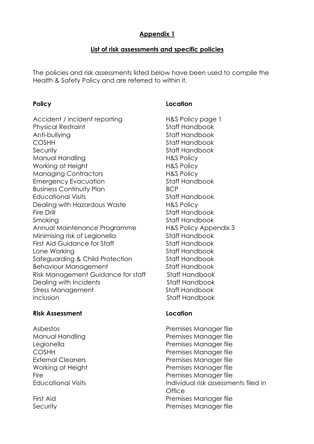### **Appendix 1**

#### **List of risk assessments and specific policies**

The policies and risk assessments listed below have been used to compile the Health & Safety Policy and are referred to within it.

Accident / incident reporting H&S Policy page 1 Physical Restraint **Staff Handbook** Anti-bullying and Staff Handbook COSHH Staff Handbook Security **Statistics** Staff Handbook Manual Handling The Manual Handling Has Policy Working at Height **H&S Policy** Managing Contractors **H&S Policy** Emergency Evacuation Staff Handbook Business Continuity Plan BCP Educational Visits **Stational Stational Visits** Staff Handbook Dealing with Hazardous Waste **H&S Policy** Fire Drill **Staff Handbook** Smoking Staff Handbook Annual Maintenance Programme H&S Policy Appendix 3 Minimising risk of Legionella Staff Handbook First Aid Guidance for Staff Staff State Staff Handbook Lone Working **Staff Handbook** Safeguarding & Child Protection Staff Handbook Behaviour Management Staff Handbook Risk Management Guidance for staff Staff Handbook Dealing with Incidents **Stationary Stationary Stationary Property** Stationary Stationary Stationary Stationary Stationary Stationary Stationary Stationary Stationary Stationary Stationary Stationary Stationary Stationary S Stress Management Staff Handbook Inclusion Staff Handbook

#### **Risk Assessment Location**

#### **Policy Location**

Asbestos Premises Manager file Manual Handling **Premises Manager file** Legionella Premises Manager file COSHH Premises Manager file External Cleaners **Premises Manager file** Working at Height **Premises Manager file** Fire **Fire Premises Manager file** Educational Visits Individual risk assessments filed in **Office** First Aid **Premises Manager file** Security **Premises Manager file**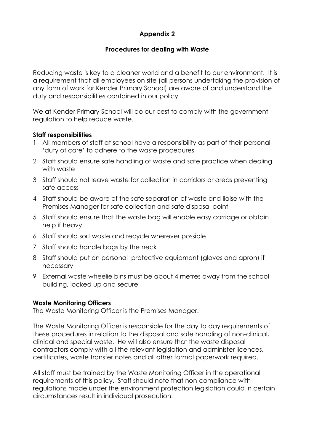### **Appendix 2**

#### **Procedures for dealing with Waste**

Reducing waste is key to a cleaner world and a benefit to our environment. It is a requirement that all employees on site (all persons undertaking the provision of any form of work for Kender Primary School) are aware of and understand the duty and responsibilities contained in our policy.

We at Kender Primary School will do our best to comply with the government regulation to help reduce waste.

#### **Staff responsibilities**

- 1 All members of staff at school have a responsibility as part of their personal 'duty of care' to adhere to the waste procedures
- 2 Staff should ensure safe handling of waste and safe practice when dealing with waste
- 3 Staff should not leave waste for collection in corridors or areas preventing safe access
- 4 Staff should be aware of the safe separation of waste and liaise with the Premises Manager for safe collection and safe disposal point
- 5 Staff should ensure that the waste bag will enable easy carriage or obtain help if heavy
- 6 Staff should sort waste and recycle wherever possible
- 7 Staff should handle bags by the neck
- 8 Staff should put on personal protective equipment (gloves and apron) if necessary
- 9 External waste wheelie bins must be about 4 metres away from the school building, locked up and secure

#### **Waste Monitoring Officers**

The Waste Monitoring Officer is the Premises Manager.

The Waste Monitoring Officer is responsible for the day to day requirements of these procedures in relation to the disposal and safe handling of non-clinical, clinical and special waste. He will also ensure that the waste disposal contractors comply with all the relevant legislation and administer licences, certificates, waste transfer notes and all other formal paperwork required.

All staff must be trained by the Waste Monitoring Officer in the operational requirements of this policy. Staff should note that non-compliance with regulations made under the environment protection legislation could in certain circumstances result in individual prosecution.